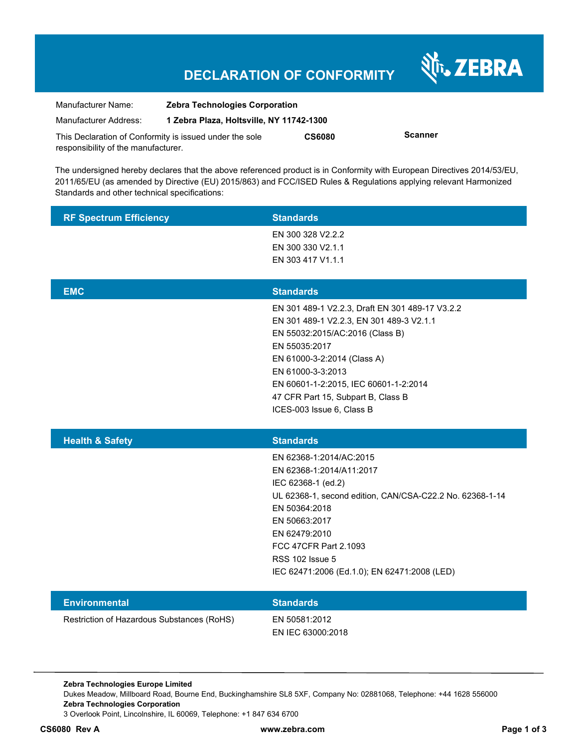# **DECLARATION OF CONFORMITY**

Nr. ZEBRA

| Manufacturer Name:                  | <b>Zebra Technologies Corporation</b>                   |               |                |
|-------------------------------------|---------------------------------------------------------|---------------|----------------|
| Manufacturer Address:               | 1 Zebra Plaza, Holtsville, NY 11742-1300                |               |                |
|                                     | This Declaration of Conformity is issued under the sole | <b>CS6080</b> | <b>Scanner</b> |
| responsibility of the manufacturer. |                                                         |               |                |

The undersigned hereby declares that the above referenced product is in Conformity with European Directives 2014/53/EU, 2011/65/EU (as amended by Directive (EU) 2015/863) and FCC/ISED Rules & Regulations applying relevant Harmonized Standards and other technical specifications:

| <b>RF Spectrum Efficiency</b> | <b>Standards</b>                                                                                                                                                                                                                                                                                                |
|-------------------------------|-----------------------------------------------------------------------------------------------------------------------------------------------------------------------------------------------------------------------------------------------------------------------------------------------------------------|
|                               | EN 300 328 V2.2.2                                                                                                                                                                                                                                                                                               |
|                               | EN 300 330 V2.1.1<br>EN 303 417 V1.1.1                                                                                                                                                                                                                                                                          |
|                               |                                                                                                                                                                                                                                                                                                                 |
| <b>EMC</b>                    | <b>Standards</b>                                                                                                                                                                                                                                                                                                |
|                               | EN 301 489-1 V2.2.3, Draft EN 301 489-17 V3.2.2<br>EN 301 489-1 V2.2.3, EN 301 489-3 V2.1.1<br>EN 55032:2015/AC:2016 (Class B)<br>EN 55035:2017<br>EN 61000-3-2:2014 (Class A)<br>EN 61000-3-3:2013<br>EN 60601-1-2:2015, IEC 60601-1-2:2014<br>47 CFR Part 15, Subpart B, Class B<br>ICES-003 Issue 6, Class B |
|                               |                                                                                                                                                                                                                                                                                                                 |
| <b>Health &amp; Safety</b>    | <b>Standards</b>                                                                                                                                                                                                                                                                                                |
|                               | EN 62368-1:2014/AC:2015<br>EN 62368-1:2014/A11:2017<br>IEC 62368-1 (ed.2)<br>UL 62368-1, second edition, CAN/CSA-C22.2 No. 62368-1-14<br>EN 50364:2018<br>EN 50663:2017<br>EN 62479:2010<br>FCC 47CFR Part 2.1093<br><b>RSS 102 Issue 5</b><br>IEC 62471:2006 (Ed.1.0); EN 62471:2008 (LED)                     |
| <b>Environmental</b>          | <b>Standards</b>                                                                                                                                                                                                                                                                                                |

**Zebra Technologies Europe Limited**  Dukes Meadow, Millboard Road, Bourne End, Buckinghamshire SL8 5XF, Company No: 02881068, Telephone: +44 1628 556000 **Zebra Technologies Corporation**  3 Overlook Point, Lincolnshire, IL 60069, Telephone: +1 847 634 6700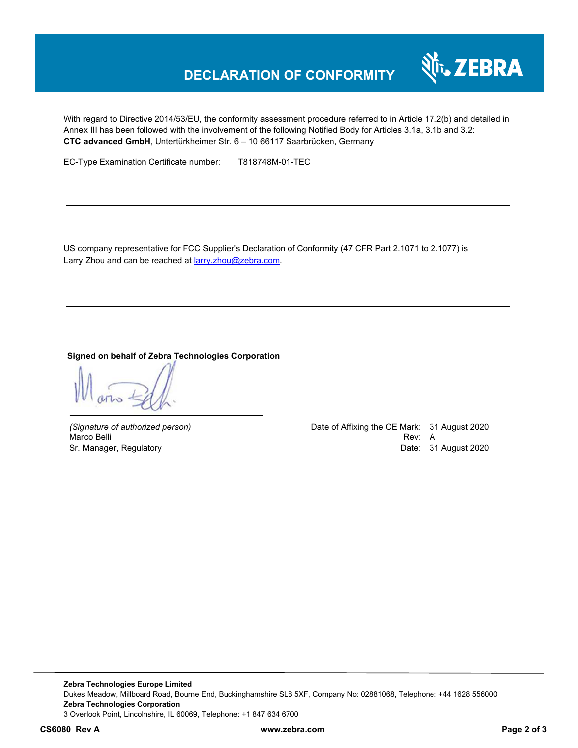# **DECLARATION OF CONFORMITY**



With regard to Directive 2014/53/EU, the conformity assessment procedure referred to in Article 17.2(b) and detailed in Annex III has been followed with the involvement of the following Notified Body for Articles 3.1a, 3.1b and 3.2: **CTC advanced GmbH**, Untertürkheimer Str. 6 – 10 66117 Saarbrücken, Germany

EC-Type Examination Certificate number: T818748M-01-TEC

US company representative for FCC Supplier's Declaration of Conformity (47 CFR Part 2.1071 to 2.1077) is Larry Zhou and can be reached at **larry.zhou@zebra.com**.

## **Signed on behalf of Zebra Technologies Corporation**

*(Signature of authorized person)* Date of Affixing the CE Mark: 31 August 2020 Marco Belli Rev: A Sr. Manager, Regulatory **Date: 31 August 2020**